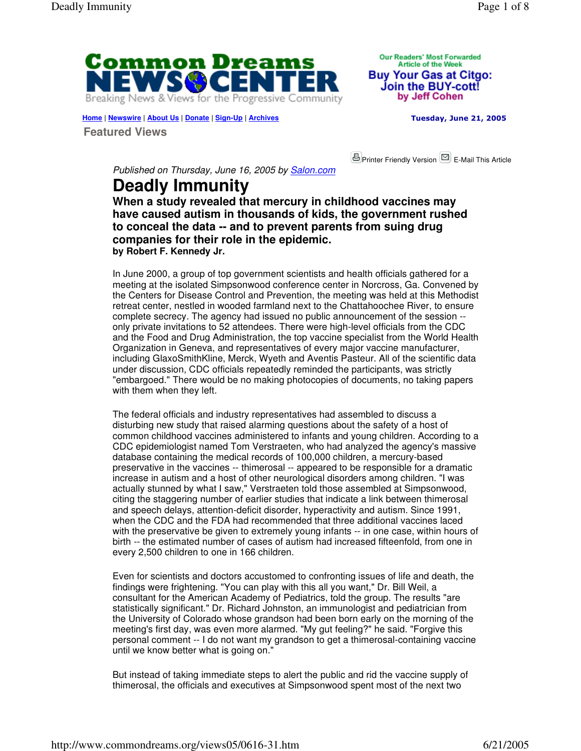

**Home | Newswire | About Us | Donate | Sign-Up | Archives** -**Featured Views**

**Our Readers' Most Forwarded Article of the Week Buy Your Gas at Citgo: Join the BUY-cott!** by Jeff Cohen

esday, June 21, 2005

**B** Printer Friendly Version **B** E-Mail This Article

*Published on Thursday, June 16, 2005 by Salon.com*

## **Deadly Immunity**

**When a study revealed that mercury in childhood vaccines may have caused autism in thousands of kids, the government rushed to conceal the data -- and to prevent parents from suing drug companies for their role in the epidemic. by Robert F. Kennedy Jr.**

In June 2000, a group of top government scientists and health officials gathered for a meeting at the isolated Simpsonwood conference center in Norcross, Ga. Convened by the Centers for Disease Control and Prevention, the meeting was held at this Methodist retreat center, nestled in wooded farmland next to the Chattahoochee River, to ensure complete secrecy. The agency had issued no public announcement of the session - only private invitations to 52 attendees. There were high-level officials from the CDC and the Food and Drug Administration, the top vaccine specialist from the World Health Organization in Geneva, and representatives of every major vaccine manufacturer, including GlaxoSmithKline, Merck, Wyeth and Aventis Pasteur. All of the scientific data under discussion, CDC officials repeatedly reminded the participants, was strictly "embargoed." There would be no making photocopies of documents, no taking papers with them when they left.

The federal officials and industry representatives had assembled to discuss a disturbing new study that raised alarming questions about the safety of a host of common childhood vaccines administered to infants and young children. According to a CDC epidemiologist named Tom Verstraeten, who had analyzed the agency's massive database containing the medical records of 100,000 children, a mercury-based preservative in the vaccines -- thimerosal -- appeared to be responsible for a dramatic increase in autism and a host of other neurological disorders among children. "I was actually stunned by what I saw," Verstraeten told those assembled at Simpsonwood, citing the staggering number of earlier studies that indicate a link between thimerosal and speech delays, attention-deficit disorder, hyperactivity and autism. Since 1991, when the CDC and the FDA had recommended that three additional vaccines laced with the preservative be given to extremely young infants -- in one case, within hours of birth -- the estimated number of cases of autism had increased fifteenfold, from one in every 2,500 children to one in 166 children.

Even for scientists and doctors accustomed to confronting issues of life and death, the findings were frightening. "You can play with this all you want," Dr. Bill Weil, a consultant for the American Academy of Pediatrics, told the group. The results "are statistically significant." Dr. Richard Johnston, an immunologist and pediatrician from the University of Colorado whose grandson had been born early on the morning of the meeting's first day, was even more alarmed. "My gut feeling?" he said. "Forgive this personal comment -- I do not want my grandson to get a thimerosal-containing vaccine until we know better what is going on."

But instead of taking immediate steps to alert the public and rid the vaccine supply of thimerosal, the officials and executives at Simpsonwood spent most of the next two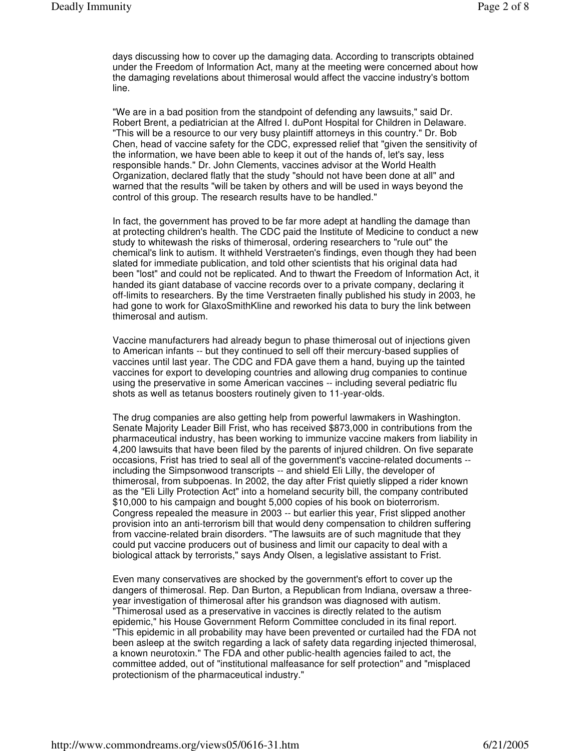days discussing how to cover up the damaging data. According to transcripts obtained under the Freedom of Information Act, many at the meeting were concerned about how the damaging revelations about thimerosal would affect the vaccine industry's bottom line.

"We are in a bad position from the standpoint of defending any lawsuits," said Dr. Robert Brent, a pediatrician at the Alfred I. duPont Hospital for Children in Delaware. "This will be a resource to our very busy plaintiff attorneys in this country." Dr. Bob Chen, head of vaccine safety for the CDC, expressed relief that "given the sensitivity of the information, we have been able to keep it out of the hands of, let's say, less responsible hands." Dr. John Clements, vaccines advisor at the World Health Organization, declared flatly that the study "should not have been done at all" and warned that the results "will be taken by others and will be used in ways beyond the control of this group. The research results have to be handled."

In fact, the government has proved to be far more adept at handling the damage than at protecting children's health. The CDC paid the Institute of Medicine to conduct a new study to whitewash the risks of thimerosal, ordering researchers to "rule out" the chemical's link to autism. It withheld Verstraeten's findings, even though they had been slated for immediate publication, and told other scientists that his original data had been "lost" and could not be replicated. And to thwart the Freedom of Information Act, it handed its giant database of vaccine records over to a private company, declaring it off-limits to researchers. By the time Verstraeten finally published his study in 2003, he had gone to work for GlaxoSmithKline and reworked his data to bury the link between thimerosal and autism.

Vaccine manufacturers had already begun to phase thimerosal out of injections given to American infants -- but they continued to sell off their mercury-based supplies of vaccines until last year. The CDC and FDA gave them a hand, buying up the tainted vaccines for export to developing countries and allowing drug companies to continue using the preservative in some American vaccines -- including several pediatric flu shots as well as tetanus boosters routinely given to 11-year-olds.

The drug companies are also getting help from powerful lawmakers in Washington. Senate Majority Leader Bill Frist, who has received \$873,000 in contributions from the pharmaceutical industry, has been working to immunize vaccine makers from liability in 4,200 lawsuits that have been filed by the parents of injured children. On five separate occasions, Frist has tried to seal all of the government's vaccine-related documents - including the Simpsonwood transcripts -- and shield Eli Lilly, the developer of thimerosal, from subpoenas. In 2002, the day after Frist quietly slipped a rider known as the "Eli Lilly Protection Act" into a homeland security bill, the company contributed \$10,000 to his campaign and bought 5,000 copies of his book on bioterrorism. Congress repealed the measure in 2003 -- but earlier this year, Frist slipped another provision into an anti-terrorism bill that would deny compensation to children suffering from vaccine-related brain disorders. "The lawsuits are of such magnitude that they could put vaccine producers out of business and limit our capacity to deal with a biological attack by terrorists," says Andy Olsen, a legislative assistant to Frist.

Even many conservatives are shocked by the government's effort to cover up the dangers of thimerosal. Rep. Dan Burton, a Republican from Indiana, oversaw a threeyear investigation of thimerosal after his grandson was diagnosed with autism. "Thimerosal used as a preservative in vaccines is directly related to the autism epidemic," his House Government Reform Committee concluded in its final report. "This epidemic in all probability may have been prevented or curtailed had the FDA not been asleep at the switch regarding a lack of safety data regarding injected thimerosal, a known neurotoxin." The FDA and other public-health agencies failed to act, the committee added, out of "institutional malfeasance for self protection" and "misplaced protectionism of the pharmaceutical industry."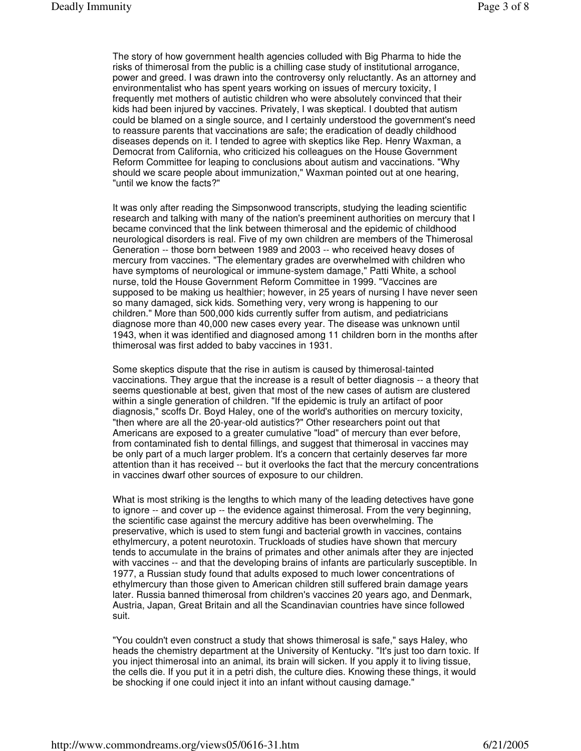The story of how government health agencies colluded with Big Pharma to hide the risks of thimerosal from the public is a chilling case study of institutional arrogance, power and greed. I was drawn into the controversy only reluctantly. As an attorney and environmentalist who has spent years working on issues of mercury toxicity, I frequently met mothers of autistic children who were absolutely convinced that their kids had been injured by vaccines. Privately, I was skeptical. I doubted that autism could be blamed on a single source, and I certainly understood the government's need to reassure parents that vaccinations are safe; the eradication of deadly childhood diseases depends on it. I tended to agree with skeptics like Rep. Henry Waxman, a Democrat from California, who criticized his colleagues on the House Government Reform Committee for leaping to conclusions about autism and vaccinations. "Why should we scare people about immunization," Waxman pointed out at one hearing, "until we know the facts?"

It was only after reading the Simpsonwood transcripts, studying the leading scientific research and talking with many of the nation's preeminent authorities on mercury that I became convinced that the link between thimerosal and the epidemic of childhood neurological disorders is real. Five of my own children are members of the Thimerosal Generation -- those born between 1989 and 2003 -- who received heavy doses of mercury from vaccines. "The elementary grades are overwhelmed with children who have symptoms of neurological or immune-system damage," Patti White, a school nurse, told the House Government Reform Committee in 1999. "Vaccines are supposed to be making us healthier; however, in 25 years of nursing I have never seen so many damaged, sick kids. Something very, very wrong is happening to our children." More than 500,000 kids currently suffer from autism, and pediatricians diagnose more than 40,000 new cases every year. The disease was unknown until 1943, when it was identified and diagnosed among 11 children born in the months after thimerosal was first added to baby vaccines in 1931.

Some skeptics dispute that the rise in autism is caused by thimerosal-tainted vaccinations. They argue that the increase is a result of better diagnosis -- a theory that seems questionable at best, given that most of the new cases of autism are clustered within a single generation of children. "If the epidemic is truly an artifact of poor diagnosis," scoffs Dr. Boyd Haley, one of the world's authorities on mercury toxicity, "then where are all the 20-year-old autistics?" Other researchers point out that Americans are exposed to a greater cumulative "load" of mercury than ever before, from contaminated fish to dental fillings, and suggest that thimerosal in vaccines may be only part of a much larger problem. It's a concern that certainly deserves far more attention than it has received -- but it overlooks the fact that the mercury concentrations in vaccines dwarf other sources of exposure to our children.

What is most striking is the lengths to which many of the leading detectives have gone to ignore -- and cover up -- the evidence against thimerosal. From the very beginning, the scientific case against the mercury additive has been overwhelming. The preservative, which is used to stem fungi and bacterial growth in vaccines, contains ethylmercury, a potent neurotoxin. Truckloads of studies have shown that mercury tends to accumulate in the brains of primates and other animals after they are injected with vaccines -- and that the developing brains of infants are particularly susceptible. In 1977, a Russian study found that adults exposed to much lower concentrations of ethylmercury than those given to American children still suffered brain damage years later. Russia banned thimerosal from children's vaccines 20 years ago, and Denmark, Austria, Japan, Great Britain and all the Scandinavian countries have since followed suit.

"You couldn't even construct a study that shows thimerosal is safe," says Haley, who heads the chemistry department at the University of Kentucky. "It's just too darn toxic. If you inject thimerosal into an animal, its brain will sicken. If you apply it to living tissue, the cells die. If you put it in a petri dish, the culture dies. Knowing these things, it would be shocking if one could inject it into an infant without causing damage."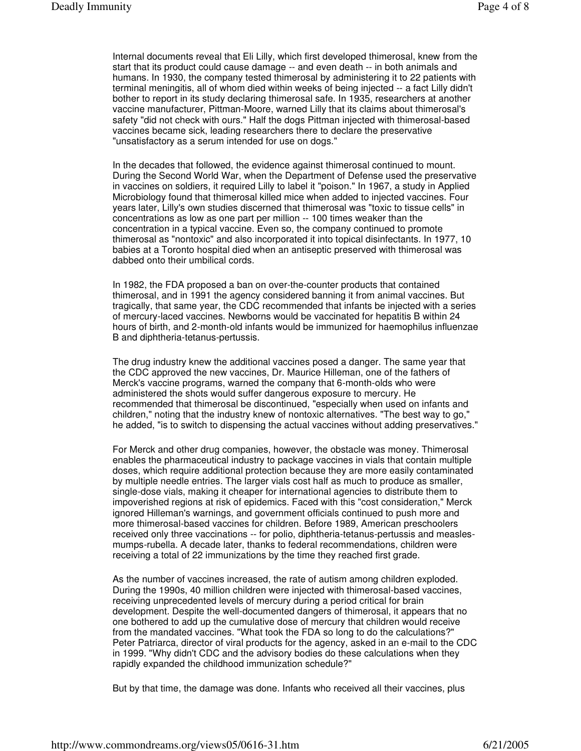Internal documents reveal that Eli Lilly, which first developed thimerosal, knew from the start that its product could cause damage -- and even death -- in both animals and humans. In 1930, the company tested thimerosal by administering it to 22 patients with terminal meningitis, all of whom died within weeks of being injected -- a fact Lilly didn't bother to report in its study declaring thimerosal safe. In 1935, researchers at another vaccine manufacturer, Pittman-Moore, warned Lilly that its claims about thimerosal's safety "did not check with ours." Half the dogs Pittman injected with thimerosal-based vaccines became sick, leading researchers there to declare the preservative "unsatisfactory as a serum intended for use on dogs."

In the decades that followed, the evidence against thimerosal continued to mount. During the Second World War, when the Department of Defense used the preservative in vaccines on soldiers, it required Lilly to label it "poison." In 1967, a study in Applied Microbiology found that thimerosal killed mice when added to injected vaccines. Four years later, Lilly's own studies discerned that thimerosal was "toxic to tissue cells" in concentrations as low as one part per million -- 100 times weaker than the concentration in a typical vaccine. Even so, the company continued to promote thimerosal as "nontoxic" and also incorporated it into topical disinfectants. In 1977, 10 babies at a Toronto hospital died when an antiseptic preserved with thimerosal was dabbed onto their umbilical cords.

In 1982, the FDA proposed a ban on over-the-counter products that contained thimerosal, and in 1991 the agency considered banning it from animal vaccines. But tragically, that same year, the CDC recommended that infants be injected with a series of mercury-laced vaccines. Newborns would be vaccinated for hepatitis B within 24 hours of birth, and 2-month-old infants would be immunized for haemophilus influenzae B and diphtheria-tetanus-pertussis.

The drug industry knew the additional vaccines posed a danger. The same year that the CDC approved the new vaccines, Dr. Maurice Hilleman, one of the fathers of Merck's vaccine programs, warned the company that 6-month-olds who were administered the shots would suffer dangerous exposure to mercury. He recommended that thimerosal be discontinued, "especially when used on infants and children," noting that the industry knew of nontoxic alternatives. "The best way to go," he added, "is to switch to dispensing the actual vaccines without adding preservatives."

For Merck and other drug companies, however, the obstacle was money. Thimerosal enables the pharmaceutical industry to package vaccines in vials that contain multiple doses, which require additional protection because they are more easily contaminated by multiple needle entries. The larger vials cost half as much to produce as smaller, single-dose vials, making it cheaper for international agencies to distribute them to impoverished regions at risk of epidemics. Faced with this "cost consideration," Merck ignored Hilleman's warnings, and government officials continued to push more and more thimerosal-based vaccines for children. Before 1989, American preschoolers received only three vaccinations -- for polio, diphtheria-tetanus-pertussis and measlesmumps-rubella. A decade later, thanks to federal recommendations, children were receiving a total of 22 immunizations by the time they reached first grade.

As the number of vaccines increased, the rate of autism among children exploded. During the 1990s, 40 million children were injected with thimerosal-based vaccines, receiving unprecedented levels of mercury during a period critical for brain development. Despite the well-documented dangers of thimerosal, it appears that no one bothered to add up the cumulative dose of mercury that children would receive from the mandated vaccines. "What took the FDA so long to do the calculations?" Peter Patriarca, director of viral products for the agency, asked in an e-mail to the CDC in 1999. "Why didn't CDC and the advisory bodies do these calculations when they rapidly expanded the childhood immunization schedule?"

But by that time, the damage was done. Infants who received all their vaccines, plus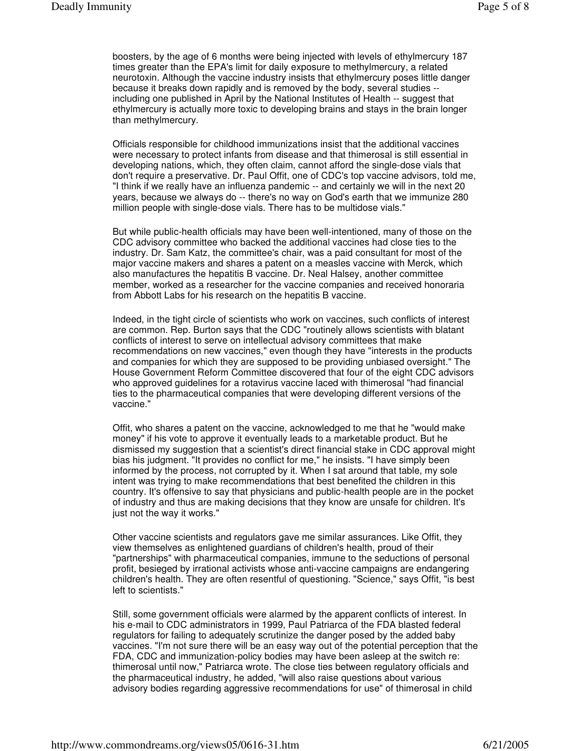boosters, by the age of 6 months were being injected with levels of ethylmercury 187 times greater than the EPA's limit for daily exposure to methylmercury, a related neurotoxin. Although the vaccine industry insists that ethylmercury poses little danger because it breaks down rapidly and is removed by the body, several studies - including one published in April by the National Institutes of Health -- suggest that ethylmercury is actually more toxic to developing brains and stays in the brain longer than methylmercury.

Officials responsible for childhood immunizations insist that the additional vaccines were necessary to protect infants from disease and that thimerosal is still essential in developing nations, which, they often claim, cannot afford the single-dose vials that don't require a preservative. Dr. Paul Offit, one of CDC's top vaccine advisors, told me, "I think if we really have an influenza pandemic -- and certainly we will in the next 20 years, because we always do -- there's no way on God's earth that we immunize 280 million people with single-dose vials. There has to be multidose vials."

But while public-health officials may have been well-intentioned, many of those on the CDC advisory committee who backed the additional vaccines had close ties to the industry. Dr. Sam Katz, the committee's chair, was a paid consultant for most of the major vaccine makers and shares a patent on a measles vaccine with Merck, which also manufactures the hepatitis B vaccine. Dr. Neal Halsey, another committee member, worked as a researcher for the vaccine companies and received honoraria from Abbott Labs for his research on the hepatitis B vaccine.

Indeed, in the tight circle of scientists who work on vaccines, such conflicts of interest are common. Rep. Burton says that the CDC "routinely allows scientists with blatant conflicts of interest to serve on intellectual advisory committees that make recommendations on new vaccines," even though they have "interests in the products and companies for which they are supposed to be providing unbiased oversight." The House Government Reform Committee discovered that four of the eight CDC advisors who approved guidelines for a rotavirus vaccine laced with thimerosal "had financial ties to the pharmaceutical companies that were developing different versions of the vaccine."

Offit, who shares a patent on the vaccine, acknowledged to me that he "would make money" if his vote to approve it eventually leads to a marketable product. But he dismissed my suggestion that a scientist's direct financial stake in CDC approval might bias his judgment. "It provides no conflict for me," he insists. "I have simply been informed by the process, not corrupted by it. When I sat around that table, my sole intent was trying to make recommendations that best benefited the children in this country. It's offensive to say that physicians and public-health people are in the pocket of industry and thus are making decisions that they know are unsafe for children. It's just not the way it works."

Other vaccine scientists and regulators gave me similar assurances. Like Offit, they view themselves as enlightened guardians of children's health, proud of their "partnerships" with pharmaceutical companies, immune to the seductions of personal profit, besieged by irrational activists whose anti-vaccine campaigns are endangering children's health. They are often resentful of questioning. "Science," says Offit, "is best left to scientists."

Still, some government officials were alarmed by the apparent conflicts of interest. In his e-mail to CDC administrators in 1999, Paul Patriarca of the FDA blasted federal regulators for failing to adequately scrutinize the danger posed by the added baby vaccines. "I'm not sure there will be an easy way out of the potential perception that the FDA, CDC and immunization-policy bodies may have been asleep at the switch re: thimerosal until now," Patriarca wrote. The close ties between regulatory officials and the pharmaceutical industry, he added, "will also raise questions about various advisory bodies regarding aggressive recommendations for use" of thimerosal in child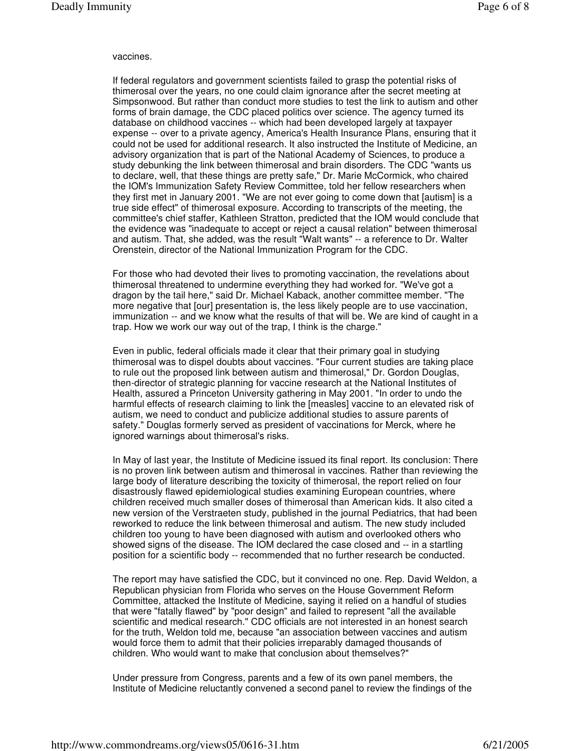## vaccines.

If federal regulators and government scientists failed to grasp the potential risks of thimerosal over the years, no one could claim ignorance after the secret meeting at Simpsonwood. But rather than conduct more studies to test the link to autism and other forms of brain damage, the CDC placed politics over science. The agency turned its database on childhood vaccines -- which had been developed largely at taxpayer expense -- over to a private agency, America's Health Insurance Plans, ensuring that it could not be used for additional research. It also instructed the Institute of Medicine, an advisory organization that is part of the National Academy of Sciences, to produce a study debunking the link between thimerosal and brain disorders. The CDC "wants us to declare, well, that these things are pretty safe," Dr. Marie McCormick, who chaired the IOM's Immunization Safety Review Committee, told her fellow researchers when they first met in January 2001. "We are not ever going to come down that [autism] is a true side effect" of thimerosal exposure. According to transcripts of the meeting, the committee's chief staffer, Kathleen Stratton, predicted that the IOM would conclude that the evidence was "inadequate to accept or reject a causal relation" between thimerosal and autism. That, she added, was the result "Walt wants" -- a reference to Dr. Walter Orenstein, director of the National Immunization Program for the CDC.

For those who had devoted their lives to promoting vaccination, the revelations about thimerosal threatened to undermine everything they had worked for. "We've got a dragon by the tail here," said Dr. Michael Kaback, another committee member. "The more negative that [our] presentation is, the less likely people are to use vaccination, immunization -- and we know what the results of that will be. We are kind of caught in a trap. How we work our way out of the trap, I think is the charge."

Even in public, federal officials made it clear that their primary goal in studying thimerosal was to dispel doubts about vaccines. "Four current studies are taking place to rule out the proposed link between autism and thimerosal," Dr. Gordon Douglas, then-director of strategic planning for vaccine research at the National Institutes of Health, assured a Princeton University gathering in May 2001. "In order to undo the harmful effects of research claiming to link the [measles] vaccine to an elevated risk of autism, we need to conduct and publicize additional studies to assure parents of safety." Douglas formerly served as president of vaccinations for Merck, where he ignored warnings about thimerosal's risks.

In May of last year, the Institute of Medicine issued its final report. Its conclusion: There is no proven link between autism and thimerosal in vaccines. Rather than reviewing the large body of literature describing the toxicity of thimerosal, the report relied on four disastrously flawed epidemiological studies examining European countries, where children received much smaller doses of thimerosal than American kids. It also cited a new version of the Verstraeten study, published in the journal Pediatrics, that had been reworked to reduce the link between thimerosal and autism. The new study included children too young to have been diagnosed with autism and overlooked others who showed signs of the disease. The IOM declared the case closed and -- in a startling position for a scientific body -- recommended that no further research be conducted.

The report may have satisfied the CDC, but it convinced no one. Rep. David Weldon, a Republican physician from Florida who serves on the House Government Reform Committee, attacked the Institute of Medicine, saying it relied on a handful of studies that were "fatally flawed" by "poor design" and failed to represent "all the available scientific and medical research." CDC officials are not interested in an honest search for the truth, Weldon told me, because "an association between vaccines and autism would force them to admit that their policies irreparably damaged thousands of children. Who would want to make that conclusion about themselves?"

Under pressure from Congress, parents and a few of its own panel members, the Institute of Medicine reluctantly convened a second panel to review the findings of the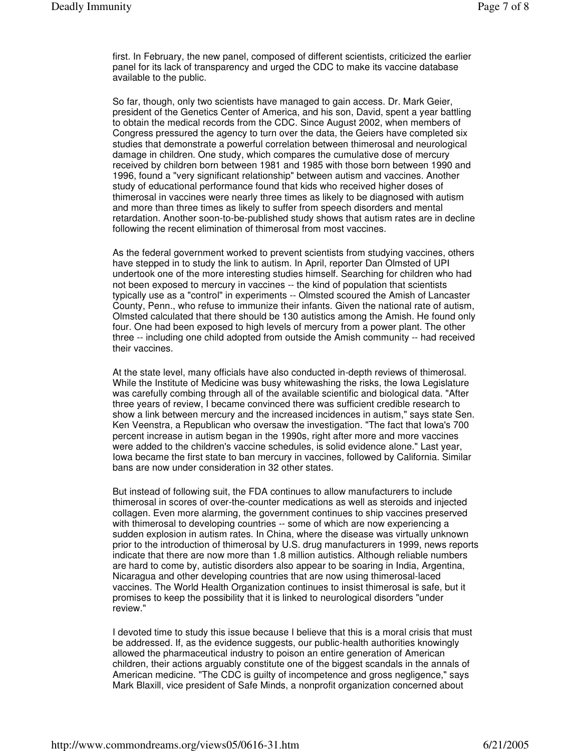first. In February, the new panel, composed of different scientists, criticized the earlier panel for its lack of transparency and urged the CDC to make its vaccine database available to the public.

So far, though, only two scientists have managed to gain access. Dr. Mark Geier, president of the Genetics Center of America, and his son, David, spent a year battling to obtain the medical records from the CDC. Since August 2002, when members of Congress pressured the agency to turn over the data, the Geiers have completed six studies that demonstrate a powerful correlation between thimerosal and neurological damage in children. One study, which compares the cumulative dose of mercury received by children born between 1981 and 1985 with those born between 1990 and 1996, found a "very significant relationship" between autism and vaccines. Another study of educational performance found that kids who received higher doses of thimerosal in vaccines were nearly three times as likely to be diagnosed with autism and more than three times as likely to suffer from speech disorders and mental retardation. Another soon-to-be-published study shows that autism rates are in decline following the recent elimination of thimerosal from most vaccines.

As the federal government worked to prevent scientists from studying vaccines, others have stepped in to study the link to autism. In April, reporter Dan Olmsted of UPI undertook one of the more interesting studies himself. Searching for children who had not been exposed to mercury in vaccines -- the kind of population that scientists typically use as a "control" in experiments -- Olmsted scoured the Amish of Lancaster County, Penn., who refuse to immunize their infants. Given the national rate of autism, Olmsted calculated that there should be 130 autistics among the Amish. He found only four. One had been exposed to high levels of mercury from a power plant. The other three -- including one child adopted from outside the Amish community -- had received their vaccines.

At the state level, many officials have also conducted in-depth reviews of thimerosal. While the Institute of Medicine was busy whitewashing the risks, the Iowa Legislature was carefully combing through all of the available scientific and biological data. "After three years of review, I became convinced there was sufficient credible research to show a link between mercury and the increased incidences in autism," says state Sen. Ken Veenstra, a Republican who oversaw the investigation. "The fact that Iowa's 700 percent increase in autism began in the 1990s, right after more and more vaccines were added to the children's vaccine schedules, is solid evidence alone." Last year, Iowa became the first state to ban mercury in vaccines, followed by California. Similar bans are now under consideration in 32 other states.

But instead of following suit, the FDA continues to allow manufacturers to include thimerosal in scores of over-the-counter medications as well as steroids and injected collagen. Even more alarming, the government continues to ship vaccines preserved with thimerosal to developing countries -- some of which are now experiencing a sudden explosion in autism rates. In China, where the disease was virtually unknown prior to the introduction of thimerosal by U.S. drug manufacturers in 1999, news reports indicate that there are now more than 1.8 million autistics. Although reliable numbers are hard to come by, autistic disorders also appear to be soaring in India, Argentina, Nicaragua and other developing countries that are now using thimerosal-laced vaccines. The World Health Organization continues to insist thimerosal is safe, but it promises to keep the possibility that it is linked to neurological disorders "under review."

I devoted time to study this issue because I believe that this is a moral crisis that must be addressed. If, as the evidence suggests, our public-health authorities knowingly allowed the pharmaceutical industry to poison an entire generation of American children, their actions arguably constitute one of the biggest scandals in the annals of American medicine. "The CDC is guilty of incompetence and gross negligence," says Mark Blaxill, vice president of Safe Minds, a nonprofit organization concerned about